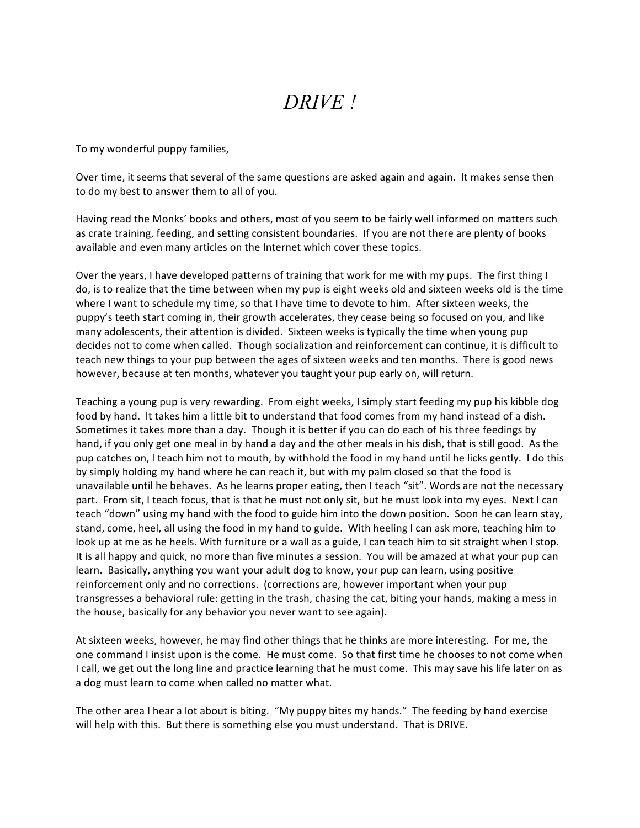## *DRIVE !*

To my wonderful puppy families,

Over time, it seems that several of the same questions are asked again and again. It makes sense then to do my best to answer them to all of you.

Having read the Monks' books and others, most of you seem to be fairly well informed on matters such as crate training, feeding, and setting consistent boundaries. If you are not there are plenty of books available and even many articles on the Internet which cover these topics.

Over the years, I have developed patterns of training that work for me with my pups. The first thing I do, is to realize that the time between when my pup is eight weeks old and sixteen weeks old is the time where I want to schedule my time, so that I have time to devote to him. After sixteen weeks, the puppy's teeth start coming in, their growth accelerates, they cease being so focused on you, and like many adolescents, their attention is divided. Sixteen weeks is typically the time when young pup decides not to come when called. Though socialization and reinforcement can continue, it is difficult to teach new things to your pup between the ages of sixteen weeks and ten months. There is good news however, because at ten months, whatever you taught your pup early on, will return.

Teaching a young pup is very rewarding. From eight weeks, I simply start feeding my pup his kibble dog food by hand. It takes him a little bit to understand that food comes from my hand instead of a dish. Sometimes it takes more than a day. Though it is better if you can do each of his three feedings by hand, if you only get one meal in by hand a day and the other meals in his dish, that is still good. As the pup catches on, I teach him not to mouth, by withhold the food in my hand until he licks gently. I do this by simply holding my hand where he can reach it, but with my palm closed so that the food is unavailable until he behaves. As he learns proper eating, then I teach "sit". Words are not the necessary part. From sit, I teach focus, that is that he must not only sit, but he must look into my eyes. Next I can teach "down" using my hand with the food to guide him into the down position. Soon he can learn stay, stand, come, heel, all using the food in my hand to guide. With heeling I can ask more, teaching him to look up at me as he heels. With furniture or a wall as a guide, I can teach him to sit straight when I stop. It is all happy and quick, no more than five minutes a session. You will be amazed at what your pup can learn. Basically, anything you want your adult dog to know, your pup can learn, using positive reinforcement only and no corrections. (corrections are, however important when your pup transgresses a behavioral rule: getting in the trash, chasing the cat, biting your hands, making a mess in the house, basically for any behavior you never want to see again).

At sixteen weeks, however, he may find other things that he thinks are more interesting. For me, the one command I insist upon is the come. He must come. So that first time he chooses to not come when I call, we get out the long line and practice learning that he must come. This may save his life later on as a dog must learn to come when called no matter what.

The other area I hear a lot about is biting. "My puppy bites my hands." The feeding by hand exercise will help with this. But there is something else you must understand. That is DRIVE.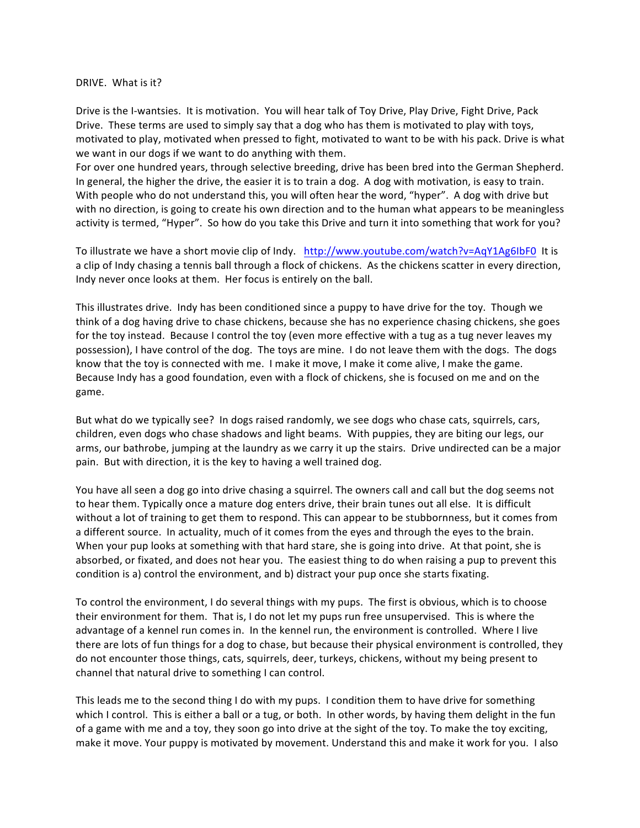DRIVE. What is it?

Drive is the I-wantsies. It is motivation. You will hear talk of Toy Drive, Play Drive, Fight Drive, Pack Drive. These terms are used to simply say that a dog who has them is motivated to play with toys, motivated to play, motivated when pressed to fight, motivated to want to be with his pack. Drive is what we want in our dogs if we want to do anything with them.

For over one hundred years, through selective breeding, drive has been bred into the German Shepherd. In general, the higher the drive, the easier it is to train a dog. A dog with motivation, is easy to train. With people who do not understand this, you will often hear the word, "hyper". A dog with drive but with no direction, is going to create his own direction and to the human what appears to be meaningless activity is termed, "Hyper". So how do you take this Drive and turn it into something that work for you?

To illustrate we have a short movie clip of Indy. http://www.youtube.com/watch?v=AqY1Ag6IbF0 It is a clip of Indy chasing a tennis ball through a flock of chickens. As the chickens scatter in every direction, Indy never once looks at them. Her focus is entirely on the ball.

This illustrates drive. Indy has been conditioned since a puppy to have drive for the toy. Though we think of a dog having drive to chase chickens, because she has no experience chasing chickens, she goes for the toy instead. Because I control the toy (even more effective with a tug as a tug never leaves my possession), I have control of the dog. The toys are mine. I do not leave them with the dogs. The dogs know that the toy is connected with me. I make it move, I make it come alive, I make the game. Because Indy has a good foundation, even with a flock of chickens, she is focused on me and on the game. 

But what do we typically see? In dogs raised randomly, we see dogs who chase cats, squirrels, cars, children, even dogs who chase shadows and light beams. With puppies, they are biting our legs, our arms, our bathrobe, jumping at the laundry as we carry it up the stairs. Drive undirected can be a major pain. But with direction, it is the key to having a well trained dog.

You have all seen a dog go into drive chasing a squirrel. The owners call and call but the dog seems not to hear them. Typically once a mature dog enters drive, their brain tunes out all else. It is difficult without a lot of training to get them to respond. This can appear to be stubbornness, but it comes from a different source. In actuality, much of it comes from the eyes and through the eyes to the brain. When your pup looks at something with that hard stare, she is going into drive. At that point, she is absorbed, or fixated, and does not hear you. The easiest thing to do when raising a pup to prevent this condition is a) control the environment, and b) distract your pup once she starts fixating.

To control the environment, I do several things with my pups. The first is obvious, which is to choose their environment for them. That is, I do not let my pups run free unsupervised. This is where the advantage of a kennel run comes in. In the kennel run, the environment is controlled. Where I live there are lots of fun things for a dog to chase, but because their physical environment is controlled, they do not encounter those things, cats, squirrels, deer, turkeys, chickens, without my being present to channel that natural drive to something I can control.

This leads me to the second thing I do with my pups. I condition them to have drive for something which I control. This is either a ball or a tug, or both. In other words, by having them delight in the fun of a game with me and a toy, they soon go into drive at the sight of the toy. To make the toy exciting, make it move. Your puppy is motivated by movement. Understand this and make it work for you. I also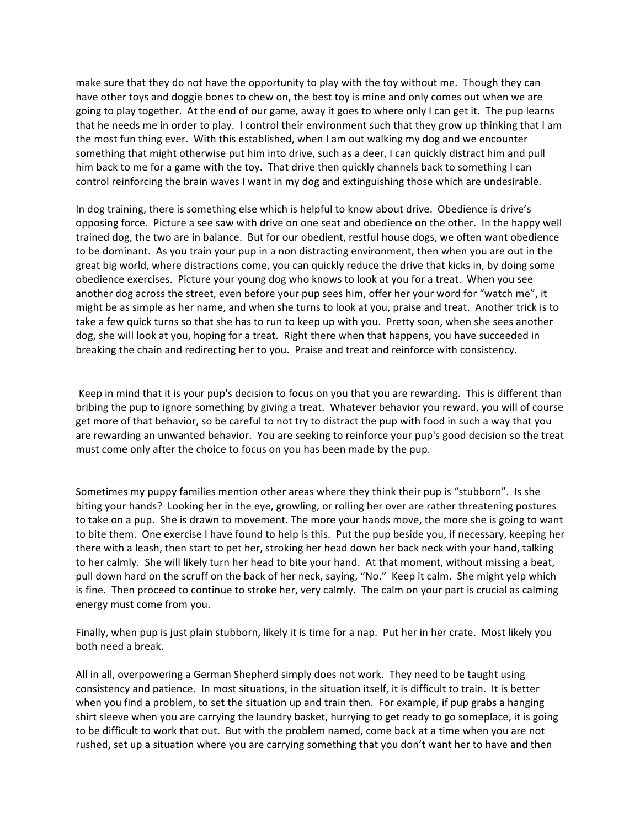make sure that they do not have the opportunity to play with the toy without me. Though they can have other toys and doggie bones to chew on, the best toy is mine and only comes out when we are going to play together. At the end of our game, away it goes to where only I can get it. The pup learns that he needs me in order to play. I control their environment such that they grow up thinking that I am the most fun thing ever. With this established, when I am out walking my dog and we encounter something that might otherwise put him into drive, such as a deer, I can quickly distract him and pull him back to me for a game with the toy. That drive then quickly channels back to something I can control reinforcing the brain waves I want in my dog and extinguishing those which are undesirable.

In dog training, there is something else which is helpful to know about drive. Obedience is drive's opposing force. Picture a see saw with drive on one seat and obedience on the other. In the happy well trained dog, the two are in balance. But for our obedient, restful house dogs, we often want obedience to be dominant. As you train your pup in a non distracting environment, then when you are out in the great big world, where distractions come, you can quickly reduce the drive that kicks in, by doing some obedience exercises. Picture your young dog who knows to look at you for a treat. When you see another dog across the street, even before your pup sees him, offer her your word for "watch me", it might be as simple as her name, and when she turns to look at you, praise and treat. Another trick is to take a few quick turns so that she has to run to keep up with you. Pretty soon, when she sees another dog, she will look at you, hoping for a treat. Right there when that happens, you have succeeded in breaking the chain and redirecting her to you. Praise and treat and reinforce with consistency.

Keep in mind that it is your pup's decision to focus on you that you are rewarding. This is different than bribing the pup to ignore something by giving a treat. Whatever behavior you reward, you will of course get more of that behavior, so be careful to not try to distract the pup with food in such a way that you are rewarding an unwanted behavior. You are seeking to reinforce your pup's good decision so the treat must come only after the choice to focus on you has been made by the pup.

Sometimes my puppy families mention other areas where they think their pup is "stubborn". Is she biting your hands? Looking her in the eye, growling, or rolling her over are rather threatening postures to take on a pup. She is drawn to movement. The more your hands move, the more she is going to want to bite them. One exercise I have found to help is this. Put the pup beside you, if necessary, keeping her there with a leash, then start to pet her, stroking her head down her back neck with your hand, talking to her calmly. She will likely turn her head to bite your hand. At that moment, without missing a beat, pull down hard on the scruff on the back of her neck, saying, "No." Keep it calm. She might yelp which is fine. Then proceed to continue to stroke her, very calmly. The calm on your part is crucial as calming energy must come from you.

Finally, when pup is just plain stubborn, likely it is time for a nap. Put her in her crate. Most likely you both need a break.

All in all, overpowering a German Shepherd simply does not work. They need to be taught using consistency and patience. In most situations, in the situation itself, it is difficult to train. It is better when you find a problem, to set the situation up and train then. For example, if pup grabs a hanging shirt sleeve when you are carrying the laundry basket, hurrying to get ready to go someplace, it is going to be difficult to work that out. But with the problem named, come back at a time when you are not rushed, set up a situation where you are carrying something that you don't want her to have and then